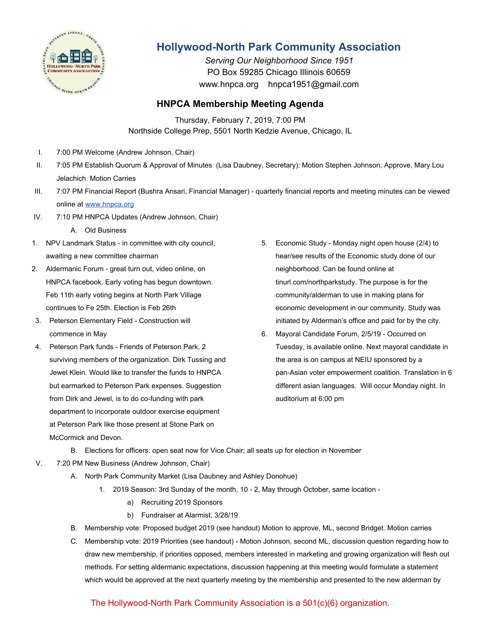

## **Hollywood-North Park Community Association**

*Serving Our Neighborhood Since 1951* PO Box 59285 Chicago Illinois 60659 www.hnpca.org hnpca1951@gmail.com

## **HNPCA Membership Meeting Agenda**

Thursday, February 7, 2019, 7:00 PM Northside College Prep, 5501 North Kedzie Avenue, Chicago, IL

- I. 7:00 PM Welcome (Andrew Johnson, Chair)
- II. 7:05 PM Establish Quorum & Approval of Minutes (Lisa Daubney, Secretary): Motion Stephen Johnson, Approve, Mary Lou Jelachich. Motion Carries
- III. 7:07 PM Financial Report (Bushra Ansari, Financial Manager) quarterly financial reports and meeting minutes can be viewed online at [www.hnpca.org](http://www.hnpca.org/)
- IV. 7:10 PM HNPCA Updates (Andrew Johnson, Chair)
	- A. Old Business
- 1. NPV Landmark Status in committee with city council, awaiting a new committee chairman
- 2. Aldermanic Forum great turn out, video online, on HNPCA facebook. Early voting has begun downtown. Feb 11th early voting begins at North Park Village continues to Fe 25th. Election is Feb 26th
- 3. Peterson Elementary Field Construction will commence in May
- 4. Peterson Park funds Friends of Peterson Park, 2 surviving members of the organization. Dirk Tussing and Jewel Klein. Would like to transfer the funds to HNPCA but earmarked to Peterson Park expenses. Suggestion from Dirk and Jewel, is to do co-funding with park department to incorporate outdoor exercise equipment at Peterson Park like those present at Stone Park on McCormick and Devon.
- 5. Economic Study Monday night open house (2/4) to hear/see results of the Economic study done of our neighborhood. Can be found online at tinurl.com/northparkstudy. The purpose is for the community/alderman to use in making plans for economic development in our community. Study was initiated by Alderman's office and paid for by the city.
- 6. Mayoral Candidate Forum, 2/5/19 Occurred on Tuesday, is available online. Next mayoral candidate in the area is on campus at NEIU sponsored by a pan-Asian voter empowerment coalition. Translation in 6 different asian languages. Will occur Monday night. In auditorium at 6:00 pm
- B. Elections for officers: open seat now for Vice Chair; all seats up for election in November
- V. 7:20 PM New Business (Andrew Johnson, Chair)
	- A. North Park Community Market (Lisa Daubney and Ashley Donohue)
		- 1. 2019 Season: 3rd Sunday of the month, 10 2, May through October, same location
			- a) Recruiting 2019 Sponsors
			- b) Fundraiser at Alarmist, 3/28/19
	- B. Membership vote: Proposed budget 2019 (see handout) Motion to approve, ML, second Bridget. Motion carries
	- C. Membership vote: 2019 Priorities (see handout) Motion Johnson, second ML, discussion question regarding how to draw new membership, if priorities opposed, members interested in marketing and growing organization will flesh out methods. For setting aldermanic expectations, discussion happening at this meeting would formulate a statement which would be approved at the next quarterly meeting by the membership and presented to the new alderman by

## The Hollywood-North Park Community Association is a 501(c)(6) organization.